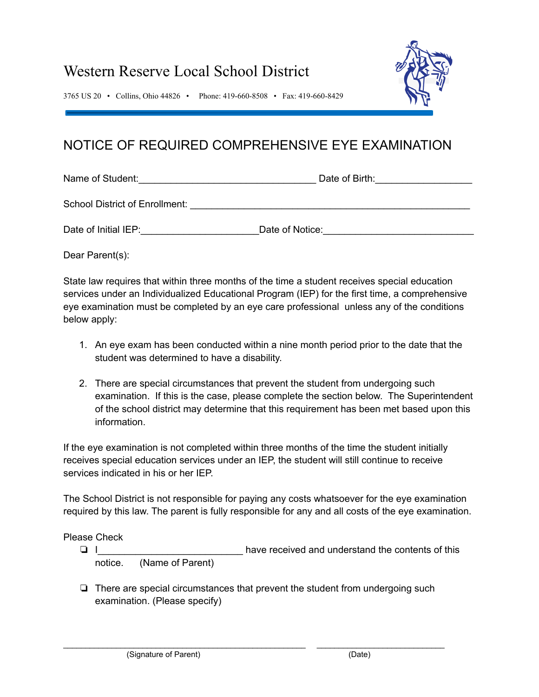## Western Reserve Local School District



3765 US 20 • Collins, Ohio 44826 • Phone: 419-660-8508 • Fax: 419-660-8429

## NOTICE OF REQUIRED COMPREHENSIVE EYE EXAMINATION

Name of Student:\_\_\_\_\_\_\_\_\_\_\_\_\_\_\_\_\_\_\_\_\_\_\_\_\_\_\_\_\_\_\_\_\_ Date of Birth:\_\_\_\_\_\_\_\_\_\_\_\_\_\_\_\_\_\_

School District of Enrollment: \_\_\_\_\_\_\_\_\_\_\_\_\_\_\_\_\_\_\_\_\_\_\_\_\_\_\_\_\_\_\_\_\_\_\_\_\_\_\_\_\_\_\_\_\_\_\_\_\_\_\_\_

Date of Initial IEP: The Contract of Society Date of Notice:

Dear Parent(s):

State law requires that within three months of the time a student receives special education services under an Individualized Educational Program (IEP) for the first time, a comprehensive eye examination must be completed by an eye care professional unless any of the conditions below apply:

- 1. An eye exam has been conducted within a nine month period prior to the date that the student was determined to have a disability.
- 2. There are special circumstances that prevent the student from undergoing such examination. If this is the case, please complete the section below. The Superintendent of the school district may determine that this requirement has been met based upon this information.

If the eye examination is not completed within three months of the time the student initially receives special education services under an IEP, the student will still continue to receive services indicated in his or her IEP.

The School District is not responsible for paying any costs whatsoever for the eye examination required by this law. The parent is fully responsible for any and all costs of the eye examination.

Please Check

- ❏ I\_\_\_\_\_\_\_\_\_\_\_\_\_\_\_\_\_\_\_\_\_\_\_\_\_\_\_ have received and understand the contents of this notice. (Name of Parent)
- ❏ There are special circumstances that prevent the student from undergoing such examination. (Please specify)

\_\_\_\_\_\_\_\_\_\_\_\_\_\_\_\_\_\_\_\_\_\_\_\_\_\_\_\_\_\_\_\_\_\_\_\_\_\_\_\_\_\_\_\_\_\_\_\_\_\_\_\_\_\_\_ \_\_\_\_\_\_\_\_\_\_\_\_\_\_\_\_\_\_\_\_\_\_\_\_\_\_\_\_\_